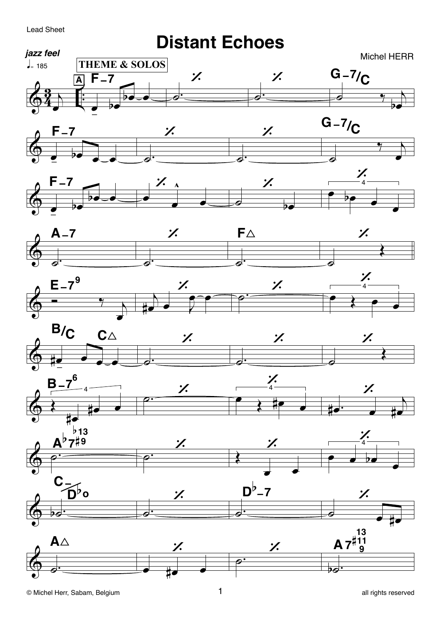## **Lead Sheet**

## **Distant Echoes**



















ÞØ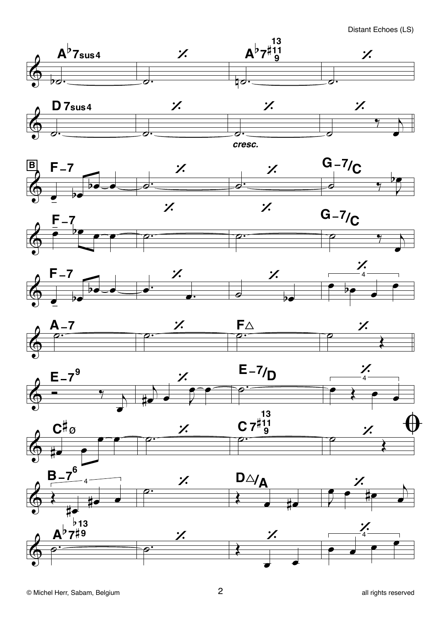